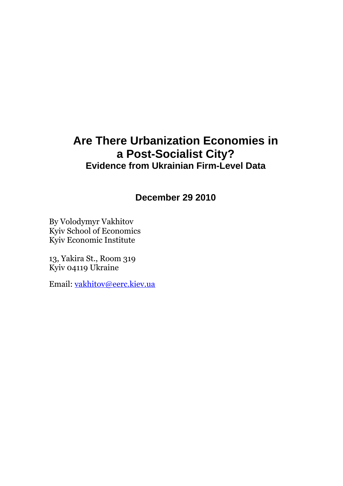# **Are There Urbanization Economies in a Post-Socialist City? Evidence from Ukrainian Firm-Level Data**

**December 29 2010**

By Volodymyr Vakhitov Kyiv School of Economics Kyiv Economic Institute

13, Yakira St., Room 319 Kyiv 04119 Ukraine

Email: vakhitov@eerc.kiev.ua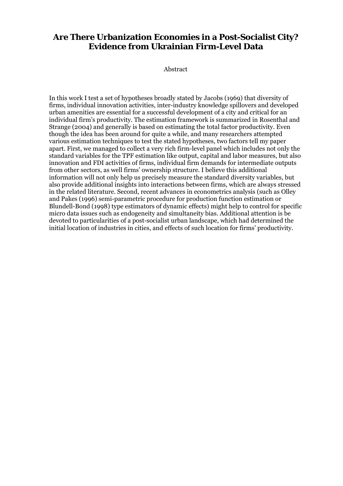# **Are There Urbanization Economies in a Post-Socialist City? Evidence from Ukrainian Firm-Level Data**

Abstract

In this work I test a set of hypotheses broadly stated by Jacobs (1969) that diversity of firms, individual innovation activities, inter-industry knowledge spillovers and developed urban amenities are essential for a successful development of a city and critical for an individual firm's productivity. The estimation framework is summarized in Rosenthal and Strange (2004) and generally is based on estimating the total factor productivity. Even though the idea has been around for quite a while, and many researchers attempted various estimation techniques to test the stated hypotheses, two factors tell my paper apart. First, we managed to collect a very rich firm-level panel which includes not only the standard variables for the TPF estimation like output, capital and labor measures, but also innovation and FDI activities of firms, individual firm demands for intermediate outputs from other sectors, as well firms' ownership structure. I believe this additional information will not only help us precisely measure the standard diversity variables, but also provide additional insights into interactions between firms, which are always stressed in the related literature. Second, recent advances in econometrics analysis (such as Olley and Pakes (1996) semi-parametric procedure for production function estimation or Blundell-Bond (1998) type estimators of dynamic effects) might help to control for specific micro data issues such as endogeneity and simultaneity bias. Additional attention is be devoted to particularities of a post-socialist urban landscape, which had determined the initial location of industries in cities, and effects of such location for firms' productivity.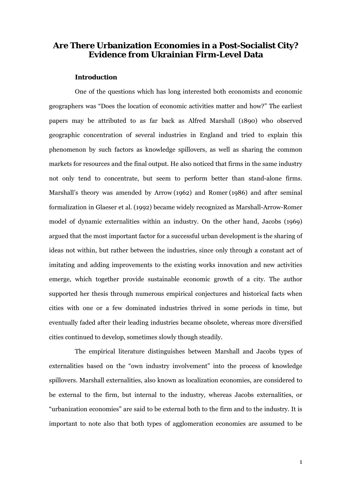# **Are There Urbanization Economies in a Post-Socialist City? Evidence from Ukrainian Firm-Level Data**

#### **Introduction**

One of the questions which has long interested both economists and economic geographers was "Does the location of economic activities matter and how?" The earliest papers may be attributed to as far back as Alfred Marshall (1890) who observed geographic concentration of several industries in England and tried to explain this phenomenon by such factors as knowledge spillovers, as well as sharing the common markets for resources and the final output. He also noticed that firms in the same industry not only tend to concentrate, but seem to perform better than stand-alone firms. Marshall's theory was amended by Arrow (1962) and Romer (1986) and after seminal formalization in Glaeser et al. (1992) became widely recognized as Marshall-Arrow-Romer model of dynamic externalities within an industry. On the other hand, Jacobs (1969) argued that the most important factor for a successful urban development is the sharing of ideas not within, but rather between the industries, since only through a constant act of imitating and adding improvements to the existing works innovation and new activities emerge, which together provide sustainable economic growth of a city. The author supported her thesis through numerous empirical conjectures and historical facts when cities with one or a few dominated industries thrived in some periods in time, but eventually faded after their leading industries became obsolete, whereas more diversified cities continued to develop, sometimes slowly though steadily.

The empirical literature distinguishes between Marshall and Jacobs types of externalities based on the "own industry involvement" into the process of knowledge spillovers. Marshall externalities, also known as localization economies, are considered to be external to the firm, but internal to the industry, whereas Jacobs externalities, or "urbanization economies" are said to be external both to the firm and to the industry. It is important to note also that both types of agglomeration economies are assumed to be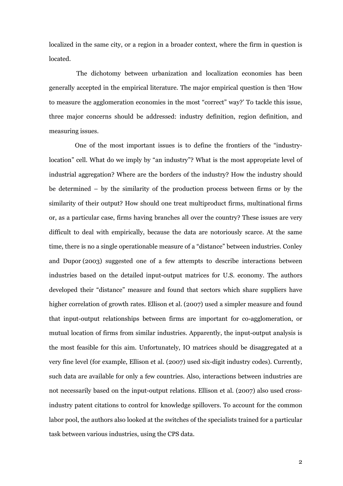localized in the same city, or a region in a broader context, where the firm in question is located.

 The dichotomy between urbanization and localization economies has been generally accepted in the empirical literature. The major empirical question is then 'How to measure the agglomeration economies in the most "correct" way?' To tackle this issue, three major concerns should be addressed: industry definition, region definition, and measuring issues.

One of the most important issues is to define the frontiers of the "industrylocation" cell. What do we imply by "an industry"? What is the most appropriate level of industrial aggregation? Where are the borders of the industry? How the industry should be determined – by the similarity of the production process between firms or by the similarity of their output? How should one treat multiproduct firms, multinational firms or, as a particular case, firms having branches all over the country? These issues are very difficult to deal with empirically, because the data are notoriously scarce. At the same time, there is no a single operationable measure of a "distance" between industries. Conley and Dupor (2003) suggested one of a few attempts to describe interactions between industries based on the detailed input-output matrices for U.S. economy. The authors developed their "distance" measure and found that sectors which share suppliers have higher correlation of growth rates. Ellison et al. (2007) used a simpler measure and found that input-output relationships between firms are important for co-agglomeration, or mutual location of firms from similar industries. Apparently, the input-output analysis is the most feasible for this aim. Unfortunately, IO matrices should be disaggregated at a very fine level (for example, Ellison et al. (2007) used six-digit industry codes). Currently, such data are available for only a few countries. Also, interactions between industries are not necessarily based on the input-output relations. Ellison et al. (2007) also used crossindustry patent citations to control for knowledge spillovers. To account for the common labor pool, the authors also looked at the switches of the specialists trained for a particular task between various industries, using the CPS data.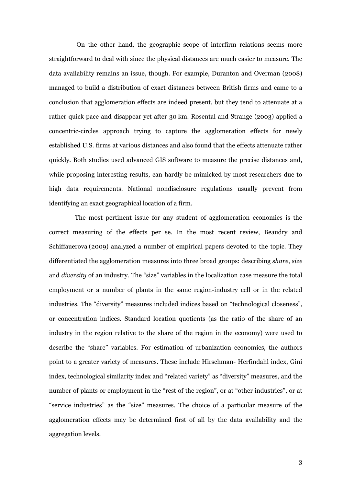On the other hand, the geographic scope of interfirm relations seems more straightforward to deal with since the physical distances are much easier to measure. The data availability remains an issue, though. For example, Duranton and Overman (2008) managed to build a distribution of exact distances between British firms and came to a conclusion that agglomeration effects are indeed present, but they tend to attenuate at a rather quick pace and disappear yet after 30 km. Rosental and Strange (2003) applied a concentric-circles approach trying to capture the agglomeration effects for newly established U.S. firms at various distances and also found that the effects attenuate rather quickly. Both studies used advanced GIS software to measure the precise distances and, while proposing interesting results, can hardly be mimicked by most researchers due to high data requirements. National nondisclosure regulations usually prevent from identifying an exact geographical location of a firm.

The most pertinent issue for any student of agglomeration economies is the correct measuring of the effects per se. In the most recent review, Beaudry and Schiffauerova (2009) analyzed a number of empirical papers devoted to the topic. They differentiated the agglomeration measures into three broad groups: describing *share*, *size* and *diversity* of an industry. The "size" variables in the localization case measure the total employment or a number of plants in the same region-industry cell or in the related industries. The "diversity" measures included indices based on "technological closeness", or concentration indices. Standard location quotients (as the ratio of the share of an industry in the region relative to the share of the region in the economy) were used to describe the "share" variables. For estimation of urbanization economies, the authors point to a greater variety of measures. These include Hirschman- Herfindahl index, Gini index, technological similarity index and "related variety" as "diversity" measures, and the number of plants or employment in the "rest of the region", or at "other industries", or at "service industries" as the "size" measures. The choice of a particular measure of the agglomeration effects may be determined first of all by the data availability and the aggregation levels.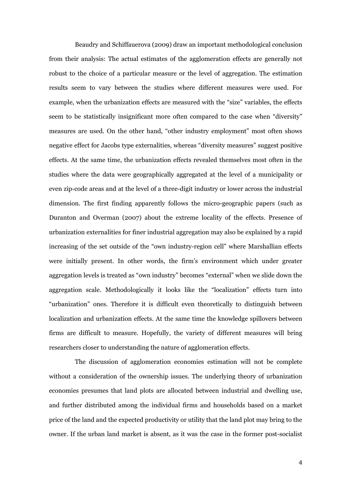Beaudry and Schiffauerova (2009) draw an important methodological conclusion from their analysis: The actual estimates of the agglomeration effects are generally not robust to the choice of a particular measure or the level of aggregation. The estimation results seem to vary between the studies where different measures were used. For example, when the urbanization effects are measured with the "size" variables, the effects seem to be statistically insignificant more often compared to the case when "diversity" measures are used. On the other hand, "other industry employment" most often shows negative effect for Jacobs type externalities, whereas "diversity measures" suggest positive effects. At the same time, the urbanization effects revealed themselves most often in the studies where the data were geographically aggregated at the level of a municipality or even zip-code areas and at the level of a three-digit industry or lower across the industrial dimension. The first finding apparently follows the micro-geographic papers (such as Duranton and Overman (2007) about the extreme locality of the effects. Presence of urbanization externalities for finer industrial aggregation may also be explained by a rapid increasing of the set outside of the "own industry-region cell" where Marshallian effects were initially present. In other words, the firm's environment which under greater aggregation levels is treated as "own industry" becomes "external" when we slide down the aggregation scale. Methodologically it looks like the "localization" effects turn into "urbanization" ones. Therefore it is difficult even theoretically to distinguish between localization and urbanization effects. At the same time the knowledge spillovers between firms are difficult to measure. Hopefully, the variety of different measures will bring researchers closer to understanding the nature of agglomeration effects.

The discussion of agglomeration economies estimation will not be complete without a consideration of the ownership issues. The underlying theory of urbanization economies presumes that land plots are allocated between industrial and dwelling use, and further distributed among the individual firms and households based on a market price of the land and the expected productivity or utility that the land plot may bring to the owner. If the urban land market is absent, as it was the case in the former post-socialist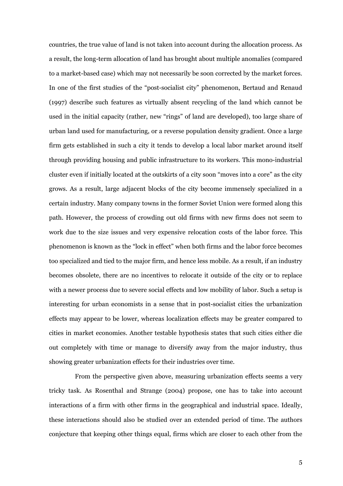countries, the true value of land is not taken into account during the allocation process. As a result, the long-term allocation of land has brought about multiple anomalies (compared to a market-based case) which may not necessarily be soon corrected by the market forces. In one of the first studies of the "post-socialist city" phenomenon, Bertaud and Renaud (1997) describe such features as virtually absent recycling of the land which cannot be used in the initial capacity (rather, new "rings" of land are developed), too large share of urban land used for manufacturing, or a reverse population density gradient. Once a large firm gets established in such a city it tends to develop a local labor market around itself through providing housing and public infrastructure to its workers. This mono-industrial cluster even if initially located at the outskirts of a city soon "moves into a core" as the city grows. As a result, large adjacent blocks of the city become immensely specialized in a certain industry. Many company towns in the former Soviet Union were formed along this path. However, the process of crowding out old firms with new firms does not seem to work due to the size issues and very expensive relocation costs of the labor force. This phenomenon is known as the "lock in effect" when both firms and the labor force becomes too specialized and tied to the major firm, and hence less mobile. As a result, if an industry becomes obsolete, there are no incentives to relocate it outside of the city or to replace with a newer process due to severe social effects and low mobility of labor. Such a setup is interesting for urban economists in a sense that in post-socialist cities the urbanization effects may appear to be lower, whereas localization effects may be greater compared to cities in market economies. Another testable hypothesis states that such cities either die out completely with time or manage to diversify away from the major industry, thus showing greater urbanization effects for their industries over time.

From the perspective given above, measuring urbanization effects seems a very tricky task. As Rosenthal and Strange (2004) propose, one has to take into account interactions of a firm with other firms in the geographical and industrial space. Ideally, these interactions should also be studied over an extended period of time. The authors conjecture that keeping other things equal, firms which are closer to each other from the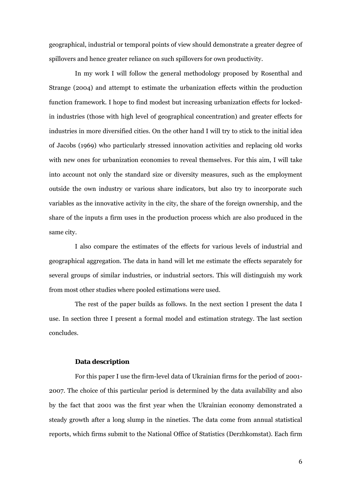geographical, industrial or temporal points of view should demonstrate a greater degree of spillovers and hence greater reliance on such spillovers for own productivity.

In my work I will follow the general methodology proposed by Rosenthal and Strange (2004) and attempt to estimate the urbanization effects within the production function framework. I hope to find modest but increasing urbanization effects for lockedin industries (those with high level of geographical concentration) and greater effects for industries in more diversified cities. On the other hand I will try to stick to the initial idea of Jacobs (1969) who particularly stressed innovation activities and replacing old works with new ones for urbanization economies to reveal themselves. For this aim, I will take into account not only the standard size or diversity measures, such as the employment outside the own industry or various share indicators, but also try to incorporate such variables as the innovative activity in the city, the share of the foreign ownership, and the share of the inputs a firm uses in the production process which are also produced in the same city.

I also compare the estimates of the effects for various levels of industrial and geographical aggregation. The data in hand will let me estimate the effects separately for several groups of similar industries, or industrial sectors. This will distinguish my work from most other studies where pooled estimations were used.

The rest of the paper builds as follows. In the next section I present the data I use. In section three I present a formal model and estimation strategy. The last section concludes.

#### **Data description**

For this paper I use the firm-level data of Ukrainian firms for the period of 2001- 2007. The choice of this particular period is determined by the data availability and also by the fact that 2001 was the first year when the Ukrainian economy demonstrated a steady growth after a long slump in the nineties. The data come from annual statistical reports, which firms submit to the National Office of Statistics (Derzhkomstat). Each firm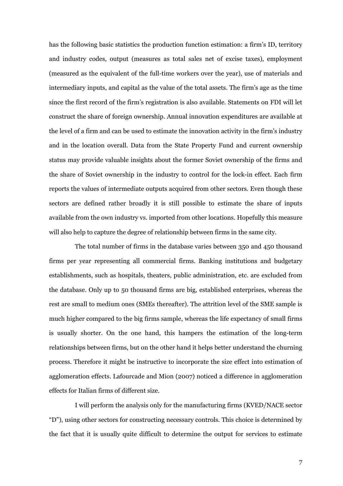has the following basic statistics the production function estimation: a firm's ID, territory and industry codes, output (measures as total sales net of excise taxes), employment (measured as the equivalent of the full-time workers over the year), use of materials and intermediary inputs, and capital as the value of the total assets. The firm's age as the time since the first record of the firm's registration is also available. Statements on FDI will let construct the share of foreign ownership. Annual innovation expenditures are available at the level of a firm and can be used to estimate the innovation activity in the firm's industry and in the location overall. Data from the State Property Fund and current ownership status may provide valuable insights about the former Soviet ownership of the firms and the share of Soviet ownership in the industry to control for the lock-in effect. Each firm reports the values of intermediate outputs acquired from other sectors. Even though these sectors are defined rather broadly it is still possible to estimate the share of inputs available from the own industry vs. imported from other locations. Hopefully this measure will also help to capture the degree of relationship between firms in the same city.

The total number of firms in the database varies between 350 and 450 thousand firms per year representing all commercial firms. Banking institutions and budgetary establishments, such as hospitals, theaters, public administration, etc. are excluded from the database. Only up to 50 thousand firms are big, established enterprises, whereas the rest are small to medium ones (SMEs thereafter). The attrition level of the SME sample is much higher compared to the big firms sample, whereas the life expectancy of small firms is usually shorter. On the one hand, this hampers the estimation of the long-term relationships between firms, but on the other hand it helps better understand the churning process. Therefore it might be instructive to incorporate the size effect into estimation of agglomeration effects. Lafourcade and Mion (2007) noticed a difference in agglomeration effects for Italian firms of different size.

I will perform the analysis only for the manufacturing firms (KVED/NACE sector "D"), using other sectors for constructing necessary controls. This choice is determined by the fact that it is usually quite difficult to determine the output for services to estimate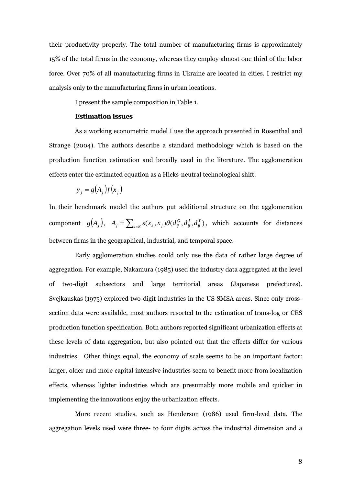their productivity properly. The total number of manufacturing firms is approximately 15% of the total firms in the economy, whereas they employ almost one third of the labor force. Over 70% of all manufacturing firms in Ukraine are located in cities. I restrict my analysis only to the manufacturing firms in urban locations.

I present the sample composition in Table 1.

#### **Estimation issues**

As a working econometric model I use the approach presented in Rosenthal and Strange (2004). The authors describe a standard methodology which is based on the production function estimation and broadly used in the literature. The agglomeration effects enter the estimated equation as a Hicks-neutral technological shift:

$$
y_j = g(A_j) f(x_j)
$$

In their benchmark model the authors put additional structure on the agglomeration  $\text{component} \quad g(A_j), \quad A_j = \sum_{k \in K} s(x_k, x_j) \theta(d_{ij}^G, d_{ij}^I, d_{ij}^T)$ *ij I*  $A_j = \sum_{k \in \mathcal{K}} s(x_k, x_j) \theta(d_{ij}^G, d_{ij}^I, d_{ij}^T)$ , which accounts for distances between firms in the geographical, industrial, and temporal space.

Early agglomeration studies could only use the data of rather large degree of aggregation. For example, Nakamura (1985) used the industry data aggregated at the level of two-digit subsectors and large territorial areas (Japanese prefectures). Svejkauskas (1975) explored two-digit industries in the US SMSA areas. Since only crosssection data were available, most authors resorted to the estimation of trans-log or CES production function specification. Both authors reported significant urbanization effects at these levels of data aggregation, but also pointed out that the effects differ for various industries. Other things equal, the economy of scale seems to be an important factor: larger, older and more capital intensive industries seem to benefit more from localization effects, whereas lighter industries which are presumably more mobile and quicker in implementing the innovations enjoy the urbanization effects.

More recent studies, such as Henderson (1986) used firm-level data. The aggregation levels used were three- to four digits across the industrial dimension and a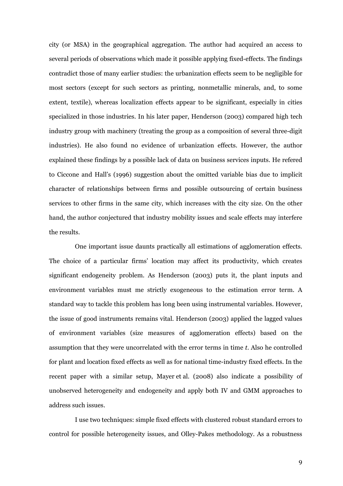city (or MSA) in the geographical aggregation. The author had acquired an access to several periods of observations which made it possible applying fixed-effects. The findings contradict those of many earlier studies: the urbanization effects seem to be negligible for most sectors (except for such sectors as printing, nonmetallic minerals, and, to some extent, textile), whereas localization effects appear to be significant, especially in cities specialized in those industries. In his later paper, Henderson (2003) compared high tech industry group with machinery (treating the group as a composition of several three-digit industries). He also found no evidence of urbanization effects. However, the author explained these findings by a possible lack of data on business services inputs. He refered to Ciccone and Hall's (1996) suggestion about the omitted variable bias due to implicit character of relationships between firms and possible outsourcing of certain business services to other firms in the same city, which increases with the city size. On the other hand, the author conjectured that industry mobility issues and scale effects may interfere the results.

One important issue daunts practically all estimations of agglomeration effects. The choice of a particular firms' location may affect its productivity, which creates significant endogeneity problem. As Henderson (2003) puts it, the plant inputs and environment variables must me strictly exogeneous to the estimation error term. A standard way to tackle this problem has long been using instrumental variables. However, the issue of good instruments remains vital. Henderson (2003) applied the lagged values of environment variables (size measures of agglomeration effects) based on the assumption that they were uncorrelated with the error terms in time *t*. Also he controlled for plant and location fixed effects as well as for national time-industry fixed effects. In the recent paper with a similar setup, Mayer et al. (2008) also indicate a possibility of unobserved heterogeneity and endogeneity and apply both IV and GMM approaches to address such issues.

I use two techniques: simple fixed effects with clustered robust standard errors to control for possible heterogeneity issues, and Olley-Pakes methodology. As a robustness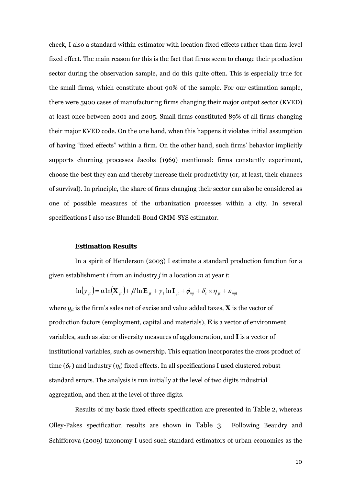check, I also a standard within estimator with location fixed effects rather than firm-level fixed effect. The main reason for this is the fact that firms seem to change their production sector during the observation sample, and do this quite often. This is especially true for the small firms, which constitute about 90% of the sample. For our estimation sample, there were 5900 cases of manufacturing firms changing their major output sector (KVED) at least once between 2001 and 2005. Small firms constituted 89% of all firms changing their major KVED code. On the one hand, when this happens it violates initial assumption of having "fixed effects" within a firm. On the other hand, such firms' behavior implicitly supports churning processes Jacobs (1969) mentioned: firms constantly experiment, choose the best they can and thereby increase their productivity (or, at least, their chances of survival). In principle, the share of firms changing their sector can also be considered as one of possible measures of the urbanization processes within a city. In several specifications I also use Blundell-Bond GMM-SYS estimator.

#### **Estimation Results**

In a spirit of Henderson (2003) I estimate a standard production function for a given establishment *i* from an industry *j* in a location *m* at year *t*:

$$
\ln(y_{jt}) = \alpha \ln(\mathbf{X}_{jt}) + \beta \ln \mathbf{E}_{jt} + \gamma_1 \ln \mathbf{I}_{jt} + \phi_{mj} + \delta_t \times \eta_{jt} + \varepsilon_{mjt}
$$

where  $y_{it}$  is the firm's sales net of excise and value added taxes, **X** is the vector of production factors (employment, capital and materials), **E** is a vector of environment variables, such as size or diversity measures of agglomeration, and **I** is a vector of institutional variables, such as ownership. This equation incorporates the cross product of time  $(\delta_t)$  and industry  $(\eta_i)$  fixed effects. In all specifications I used clustered robust standard errors. The analysis is run initially at the level of two digits industrial aggregation, and then at the level of three digits.

Results of my basic fixed effects specification are presented in Table 2, whereas Olley-Pakes specification results are shown in Table 3. Following Beaudry and Schifforova (2009) taxonomy I used such standard estimators of urban economies as the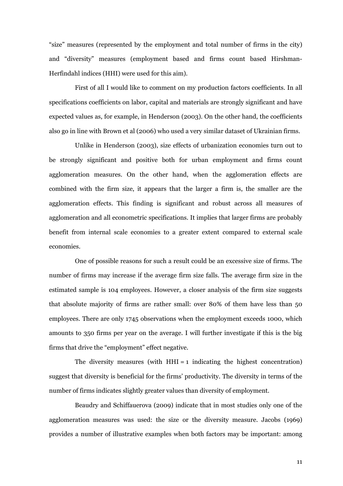"size" measures (represented by the employment and total number of firms in the city) and "diversity" measures (employment based and firms count based Hirshman-Herfindahl indices (HHI) were used for this aim).

First of all I would like to comment on my production factors coefficients. In all specifications coefficients on labor, capital and materials are strongly significant and have expected values as, for example, in Henderson (2003). On the other hand, the coefficients also go in line with Brown et al (2006) who used a very similar dataset of Ukrainian firms.

Unlike in Henderson (2003), size effects of urbanization economies turn out to be strongly significant and positive both for urban employment and firms count agglomeration measures. On the other hand, when the agglomeration effects are combined with the firm size, it appears that the larger a firm is, the smaller are the agglomeration effects. This finding is significant and robust across all measures of agglomeration and all econometric specifications. It implies that larger firms are probably benefit from internal scale economies to a greater extent compared to external scale economies.

One of possible reasons for such a result could be an excessive size of firms. The number of firms may increase if the average firm size falls. The average firm size in the estimated sample is 104 employees. However, a closer analysis of the firm size suggests that absolute majority of firms are rather small: over 80% of them have less than 50 employees. There are only 1745 observations when the employment exceeds 1000, which amounts to 350 firms per year on the average. I will further investigate if this is the big firms that drive the "employment" effect negative.

The diversity measures (with  $HHI = 1$  indicating the highest concentration) suggest that diversity is beneficial for the firms' productivity. The diversity in terms of the number of firms indicates slightly greater values than diversity of employment.

Beaudry and Schiffauerova (2009) indicate that in most studies only one of the agglomeration measures was used: the size or the diversity measure. Jacobs (1969) provides a number of illustrative examples when both factors may be important: among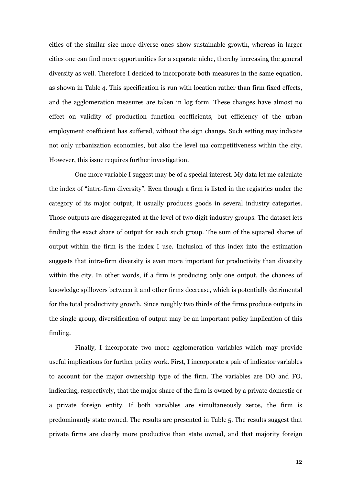cities of the similar size more diverse ones show sustainable growth, whereas in larger cities one can find more opportunities for a separate niche, thereby increasing the general diversity as well. Therefore I decided to incorporate both measures in the same equation, as shown in Table 4. This specification is run with location rather than firm fixed effects, and the agglomeration measures are taken in log form. These changes have almost no effect on validity of production function coefficients, but efficiency of the urban employment coefficient has suffered, without the sign change. Such setting may indicate not only urbanization economies, but also the level ща competitiveness within the city. However, this issue requires further investigation.

One more variable I suggest may be of a special interest. My data let me calculate the index of "intra-firm diversity". Even though a firm is listed in the registries under the category of its major output, it usually produces goods in several industry categories. Those outputs are disaggregated at the level of two digit industry groups. The dataset lets finding the exact share of output for each such group. The sum of the squared shares of output within the firm is the index I use. Inclusion of this index into the estimation suggests that intra-firm diversity is even more important for productivity than diversity within the city. In other words, if a firm is producing only one output, the chances of knowledge spillovers between it and other firms decrease, which is potentially detrimental for the total productivity growth. Since roughly two thirds of the firms produce outputs in the single group, diversification of output may be an important policy implication of this finding.

Finally, I incorporate two more agglomeration variables which may provide useful implications for further policy work. First, I incorporate a pair of indicator variables to account for the major ownership type of the firm. The variables are DO and FO, indicating, respectively, that the major share of the firm is owned by a private domestic or a private foreign entity. If both variables are simultaneously zeros, the firm is predominantly state owned. The results are presented in Table 5. The results suggest that private firms are clearly more productive than state owned, and that majority foreign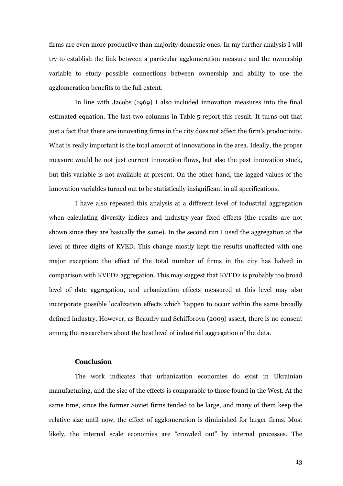firms are even more productive than majority domestic ones. In my further analysis I will try to establish the link between a particular agglomeration measure and the ownership variable to study possible connections between ownership and ability to use the agglomeration benefits to the full extent.

In line with Jacobs (1969) I also included innovation measures into the final estimated equation. The last two columns in Table 5 report this result. It turns out that just a fact that there are innovating firms in the city does not affect the firm's productivity. What is really important is the total amount of innovations in the area. Ideally, the proper measure would be not just current innovation flows, but also the past innovation stock, but this variable is not available at present. On the other hand, the lagged values of the innovation variables turned out to be statistically insignificant in all specifications.

I have also repeated this analysis at a different level of industrial aggregation when calculating diversity indices and industry-year fixed effects (the results are not shown since they are basically the same). In the second run I used the aggregation at the level of three digits of KVED. This change mostly kept the results unaffected with one major exception: the effect of the total number of firms in the city has halved in comparison with KVED2 aggregation. This may suggest that KVED2 is probably too broad level of data aggregation, and urbanization effects measured at this level may also incorporate possible localization effects which happen to occur within the same broadly defined industry. However, as Beaudry and Schifforova (2009) assert, there is no consent among the researchers about the best level of industrial aggregation of the data.

#### **Conclusion**

The work indicates that urbanization economies do exist in Ukrainian manufacturing, and the size of the effects is comparable to those found in the West. At the same time, since the former Soviet firms tended to be large, and many of them keep the relative size until now, the effect of agglomeration is diminished for larger firms. Most likely, the internal scale economies are "crowded out" by internal processes. The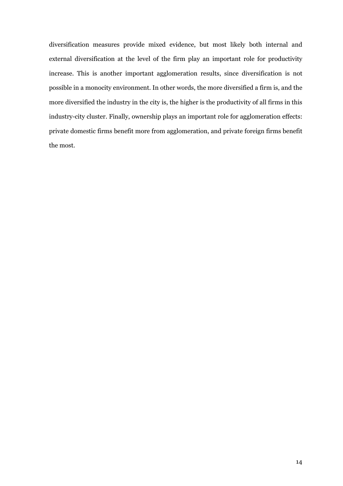diversification measures provide mixed evidence, but most likely both internal and external diversification at the level of the firm play an important role for productivity increase. This is another important agglomeration results, since diversification is not possible in a monocity environment. In other words, the more diversified a firm is, and the more diversified the industry in the city is, the higher is the productivity of all firms in this industry-city cluster. Finally, ownership plays an important role for agglomeration effects: private domestic firms benefit more from agglomeration, and private foreign firms benefit the most.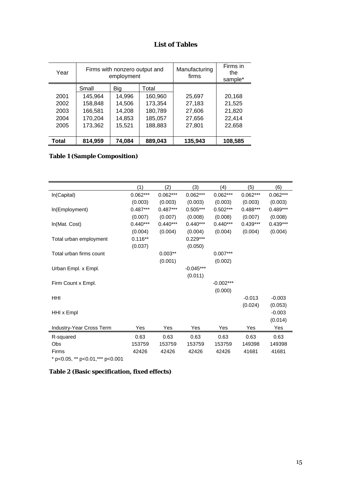### **List of Tables**

| Year  |         | Firms with nonzero output and<br>employment |         |         | Firms in<br>the<br>sample* |
|-------|---------|---------------------------------------------|---------|---------|----------------------------|
|       | Small   | Big                                         | Total   |         |                            |
| 2001  | 145,964 | 14,996                                      | 160,960 | 25,697  | 20,168                     |
| 2002  | 158,848 | 14,506                                      | 173,354 | 27,183  | 21,525                     |
| 2003  | 166,581 | 14,208                                      | 180,789 | 27,606  | 21,820                     |
| 2004  | 170,204 | 14,853                                      | 185,057 | 27,656  | 22,414                     |
| 2005  | 173,362 | 15,521                                      | 188,883 | 27,801  | 22,658                     |
|       |         |                                             |         |         |                            |
| Total | 814,959 | 74,084                                      | 889,043 | 135,943 | 108,585                    |

### **Table 1 (Sample Composition)**

|                                  | (1)        | (2)        | (3)         | (4)         | (5)        | (6)        |
|----------------------------------|------------|------------|-------------|-------------|------------|------------|
| In(Capital)                      | $0.062***$ | $0.062***$ | $0.062***$  | $0.062***$  | $0.062***$ | $0.062***$ |
|                                  | (0.003)    | (0.003)    | (0.003)     | (0.003)     | (0.003)    | (0.003)    |
| In(Employment)                   | $0.487***$ | $0.487***$ | $0.505***$  | $0.502***$  | $0.488***$ | $0.489***$ |
|                                  | (0.007)    | (0.007)    | (0.008)     | (0.008)     | (0.007)    | (0.008)    |
| In(Mat. Cost)                    | $0.440***$ | $0.440***$ | $0.440***$  | $0.440***$  | $0.439***$ | $0.439***$ |
|                                  | (0.004)    | (0.004)    | (0.004)     | (0.004)     | (0.004)    | (0.004)    |
| Total urban employment           | $0.116**$  |            | $0.229***$  |             |            |            |
|                                  | (0.037)    |            | (0.050)     |             |            |            |
| Total urban firms count          |            | $0.003**$  |             | $0.007***$  |            |            |
|                                  |            | (0.001)    |             | (0.002)     |            |            |
| Urban Empl. x Empl.              |            |            | $-0.045***$ |             |            |            |
|                                  |            |            | (0.011)     |             |            |            |
| Firm Count x Empl.               |            |            |             | $-0.002***$ |            |            |
|                                  |            |            |             | (0.000)     |            |            |
| <b>HHI</b>                       |            |            |             |             | $-0.013$   | $-0.003$   |
|                                  |            |            |             |             | (0.024)    | (0.053)    |
| HHI x Empl                       |            |            |             |             |            | $-0.003$   |
|                                  |            |            |             |             |            | (0.014)    |
| Industry-Year Cross Term         | Yes        | Yes        | Yes         | Yes         | Yes        | Yes        |
| R-squared                        | 0.63       | 0.63       | 0.63        | 0.63        | 0.63       | 0.63       |
| Obs                              | 153759     | 153759     | 153759      | 153759      | 149398     | 149398     |
| <b>Firms</b>                     | 42426      | 42426      | 42426       | 42426       | 41681      | 41681      |
| * p<0.05, ** p<0.01, *** p<0.001 |            |            |             |             |            |            |

**Table 2 (Basic specification, fixed effects)**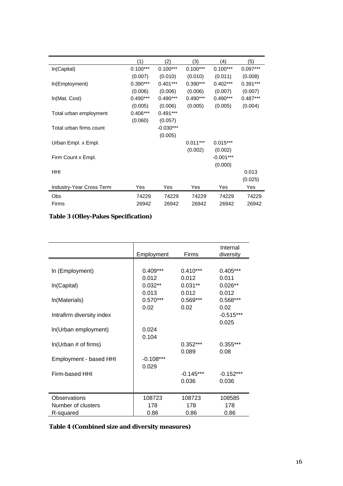|                          | (1)        | (2)         | (3)        | (4)         | (5)        |
|--------------------------|------------|-------------|------------|-------------|------------|
| In(Capital)              | $0.100***$ | $0.100***$  | $0.100***$ | $0.100***$  | $0.097***$ |
|                          | (0.007)    | (0.010)     | (0.010)    | (0.011)     | (0.008)    |
| In(Employment)           | $0.390***$ | $0.401***$  | $0.390***$ | $0.402***$  | $0.391***$ |
|                          | (0.006)    | (0.006)     | (0.006)    | (0.007)     | (0.007)    |
| In(Mat. Cost)            | $0.490***$ | $0.490***$  | $0.490***$ | $0.490***$  | $0.487***$ |
|                          | (0.005)    | (0.006)     | (0.005)    | (0.005)     | (0.004)    |
| Total urban employment   | $0.406***$ | $0.491***$  |            |             |            |
|                          | (0.060)    | (0.057)     |            |             |            |
| Total urban firms count  |            | $-0.030***$ |            |             |            |
|                          |            | (0.005)     |            |             |            |
| Urban Empl. x Empl.      |            |             | $0.011***$ | $0.015***$  |            |
|                          |            |             | (0.002)    | (0.002)     |            |
| Firm Count x Empl.       |            |             |            | $-0.001***$ |            |
|                          |            |             |            | (0.000)     |            |
| HHI                      |            |             |            |             | 0.013      |
|                          |            |             |            |             | (0.025)    |
| Industry-Year Cross Term | Yes        | Yes         | Yes        | Yes         | Yes        |
| Obs                      | 74229      | 74229       | 74229      | 74229       | 74229      |
| Firms                    | 26942      | 26942       | 26942      | 26942       | 26942      |

# **Table 3 (Olley-Pakes Specification)**

|                           | Employment  | Firms       | Internal<br>diversity |
|---------------------------|-------------|-------------|-----------------------|
|                           |             |             |                       |
| In (Employment)           | $0.409***$  | $0.410***$  | $0.405***$            |
|                           | 0.012       | 0.012       | 0.011                 |
| In(Capital)               | $0.032**$   | $0.031**$   | $0.026**$             |
|                           | 0.013       | 0.012       | 0.012                 |
| In(Materials)             | $0.570***$  | $0.569***$  | 0.568***              |
|                           | 0.02        | 0.02        | 0.02                  |
| Intrafirm diversity index |             |             | $-0.515***$           |
|                           |             |             | 0.025                 |
| In(Urban employment)      | 0.024       |             |                       |
|                           | 0.104       |             |                       |
| ln(Urban # of firms)      |             | $0.352***$  | $0.355***$            |
|                           |             | 0.089       | 0.08                  |
| Employment - based HHI    | $-0.108***$ |             |                       |
|                           | 0.029       |             |                       |
| Firm-based HHI            |             | $-0.145***$ | $-0.152***$           |
|                           |             | 0.036       | 0.036                 |
|                           |             |             |                       |
|                           |             |             |                       |
| Observations              | 108723      | 108723      | 108585                |
| Number of clusters        | 178         | 178         | 178                   |
| R-squared                 | 0.86        | 0.86        | 0.86                  |

### **Table 4 (Combined size and diversity measures)**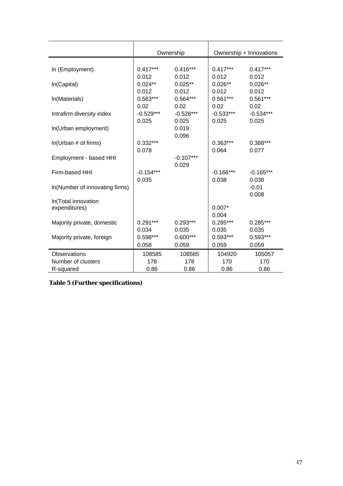|                                | Ownership            |                      | Ownership + Innovations |                      |  |
|--------------------------------|----------------------|----------------------|-------------------------|----------------------|--|
|                                |                      |                      |                         |                      |  |
| In (Employment)                | $0.417***$<br>0.012  | $0.416***$<br>0.012  | $0.417***$<br>0.012     | $0.417***$<br>0.012  |  |
| In(Capital)                    | $0.024**$<br>0.012   | $0.025**$<br>0.012   | $0.026**$<br>0.012      | $0.026**$<br>0.012   |  |
| In(Materials)                  | $0.563***$<br>0.02   | $0.564***$<br>0.02   | $0.561***$<br>0.02      | $0.561***$<br>0.02   |  |
| Intrafirm diversity index      | $-0.529***$<br>0.025 | $-0.528***$<br>0.025 | $-0.533***$<br>0.025    | $-0.534***$<br>0.025 |  |
| In(Urban employment)           |                      | 0.019<br>0.096       |                         |                      |  |
| In(Urban # of firms)           | $0.332***$<br>0.078  |                      | $0.363***$<br>0.064     | 0.388***<br>0.077    |  |
| Employment - based HHI         |                      | $-0.107***$<br>0.029 |                         |                      |  |
| Firm-based HHI                 | $-0.154***$<br>0.035 |                      | $-0.166***$<br>0.038    | $-0.165***$<br>0.038 |  |
| In(Number of innovating firms) |                      |                      |                         | $-0.01$<br>0.008     |  |
| In(Total innovation            |                      |                      |                         |                      |  |
| expenditures)                  |                      |                      | $0.007*$<br>0.004       |                      |  |
| Majority private, domestic     | $0.291***$<br>0.034  | $0.293***$<br>0.035  | $0.285***$<br>0.035     | $0.285***$<br>0.035  |  |
| Majority private, foreign      | 0.598***<br>0.058    | $0.600***$<br>0.059  | $0.593***$<br>0.059     | 0.593***<br>0.059    |  |
|                                |                      |                      |                         |                      |  |
| Observations                   | 108585               | 108585               | 104920                  | 105057               |  |
| Number of clusters             | 178                  | 178                  | 170                     | 170                  |  |
| R-squared                      | 0.86                 | 0.86                 | 0.86                    | 0.86                 |  |

**Table 5 (Further specifications)**